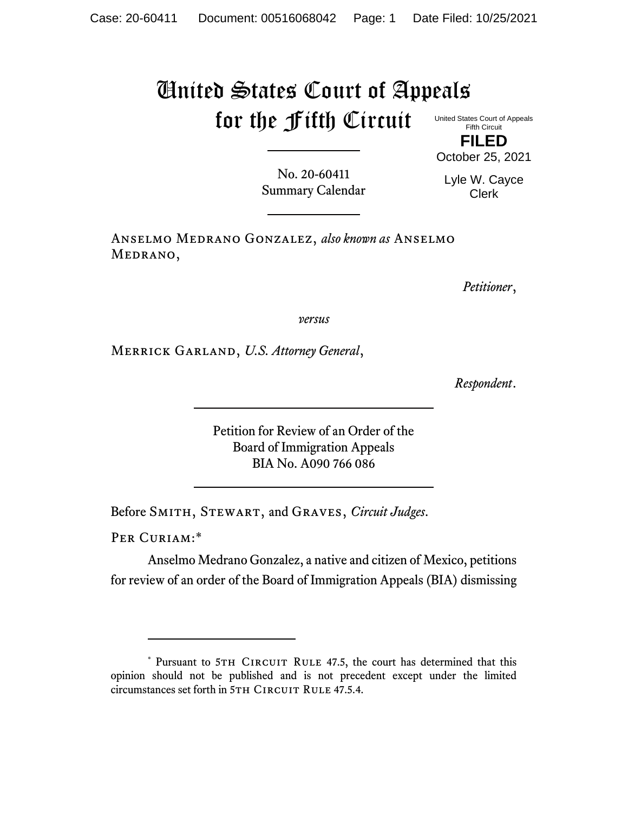## United States Court of Appeals for the Fifth Circuit

United States Court of Appeals Fifth Circuit **FILED**

No. 20-60411 Summary Calendar Lyle W. Cayce Clerk

October 25, 2021

Anselmo Medrano Gonzalez, *also known as* Anselmo MEDRANO,

*Petitioner*,

*versus*

Merrick Garland, *U.S. Attorney General*,

*Respondent*.

Petition for Review of an Order of the Board of Immigration Appeals BIA No. A090 766 086

Before Smith, Stewart, and Graves, *Circuit Judges*.

PER CURIAM:\*

Anselmo Medrano Gonzalez, a native and citizen of Mexico, petitions for review of an order of the Board of Immigration Appeals (BIA) dismissing

<sup>\*</sup> Pursuant to 5TH CIRCUIT RULE 47.5, the court has determined that this opinion should not be published and is not precedent except under the limited circumstances set forth in 5TH CIRCUIT RULE 47.5.4.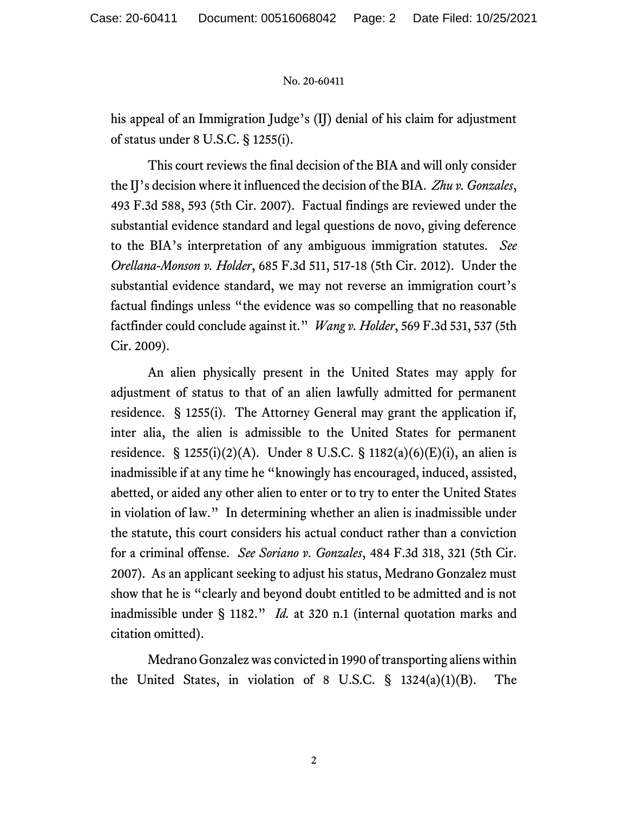## No. 20-60411

his appeal of an Immigration Judge's (IJ) denial of his claim for adjustment of status under 8 U.S.C. § 1255(i).

This court reviews the final decision of the BIA and will only consider the IJ's decision where it influenced the decision of the BIA. *Zhu v. Gonzales*, 493 F.3d 588, 593 (5th Cir. 2007). Factual findings are reviewed under the substantial evidence standard and legal questions de novo, giving deference to the BIA's interpretation of any ambiguous immigration statutes. *See Orellana-Monson v. Holder*, 685 F.3d 511, 517-18 (5th Cir. 2012). Under the substantial evidence standard, we may not reverse an immigration court's factual findings unless "the evidence was so compelling that no reasonable factfinder could conclude against it." *Wang v. Holder*, 569 F.3d 531, 537 (5th Cir. 2009).

An alien physically present in the United States may apply for adjustment of status to that of an alien lawfully admitted for permanent residence. § 1255(i). The Attorney General may grant the application if, inter alia, the alien is admissible to the United States for permanent residence. § 1255(i)(2)(A). Under 8 U.S.C. § 1182(a)(6)(E)(i), an alien is inadmissible if at any time he "knowingly has encouraged, induced, assisted, abetted, or aided any other alien to enter or to try to enter the United States in violation of law." In determining whether an alien is inadmissible under the statute, this court considers his actual conduct rather than a conviction for a criminal offense. *See Soriano v. Gonzales*, 484 F.3d 318, 321 (5th Cir. 2007). As an applicant seeking to adjust his status, Medrano Gonzalez must show that he is "clearly and beyond doubt entitled to be admitted and is not inadmissible under § 1182." *Id.* at 320 n.1 (internal quotation marks and citation omitted).

Medrano Gonzalez was convicted in 1990 of transporting aliens within the United States, in violation of 8 U.S.C. § 1324(a)(1)(B). The